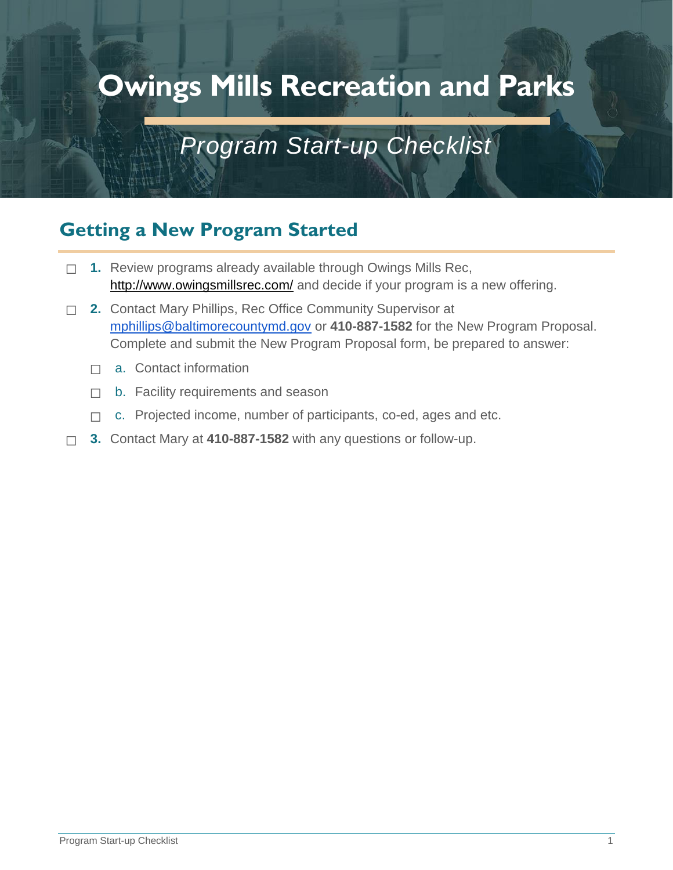# *Program Start-up Checklist*

# **Getting a New Program Started**

- ☐ **1.** Review programs already available through Owings Mills Rec, <http://www.owingsmillsrec.com/> and decide if your program is a new offering.
- ☐ **2.** Contact Mary Phillips, Rec Office Community Supervisor at [mphillips@baltimorecountymd.gov](mailto:mphillips@baltimorecountymd.gov) or **410-887-1582** for the New Program Proposal. Complete and submit the New Program Proposal form, be prepared to answer:
	- $\Box$  a. Contact information
	- ☐ b. Facility requirements and season
	- □ c. Projected income, number of participants, co-ed, ages and etc.
- ☐ **3.** Contact Mary at **410-887-1582** with any questions or follow-up.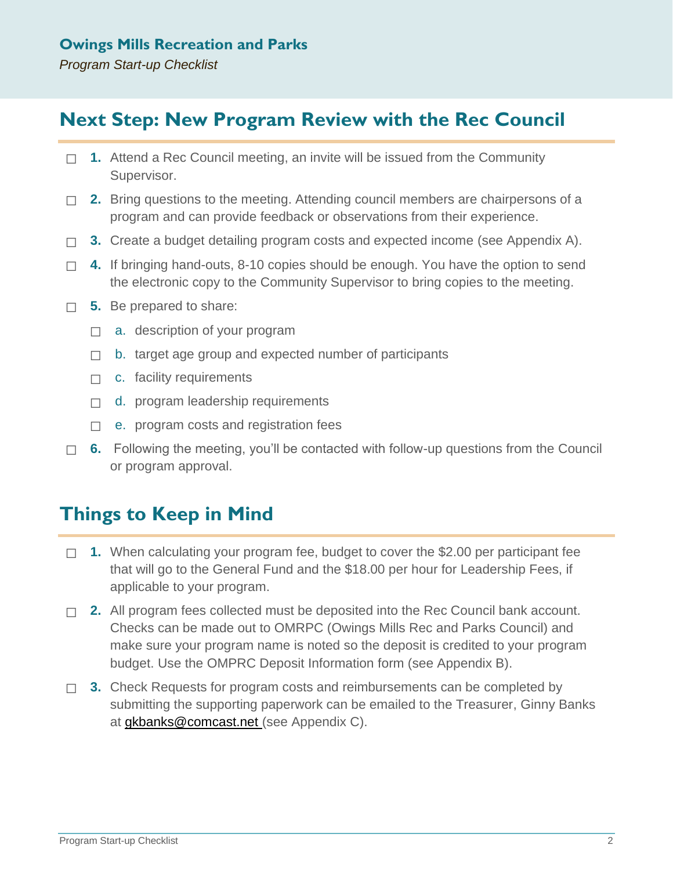# **Next Step: New Program Review with the Rec Council**

- ☐ **1.** Attend a Rec Council meeting, an invite will be issued from the Community Supervisor.
- □ **2.** Bring questions to the meeting. Attending council members are chairpersons of a program and can provide feedback or observations from their experience.
- ☐ **3.** Create a budget detailing program costs and expected income (see Appendix A).
- ☐ **4.** If bringing hand-outs, 8-10 copies should be enough. You have the option to send the electronic copy to the Community Supervisor to bring copies to the meeting.
- ☐ **5.** Be prepared to share:
	- $\Box$  a. description of your program
	- $\Box$  b. target age group and expected number of participants
	- □ c. facility requirements
	- □ d. program leadership requirements
	- $\Box$  e. program costs and registration fees
- □ **6.** Following the meeting, you'll be contacted with follow-up questions from the Council or program approval.

# **Things to Keep in Mind**

- ☐ **1.** When calculating your program fee, budget to cover the \$2.00 per participant fee that will go to the General Fund and the \$18.00 per hour for Leadership Fees, if applicable to your program.
- ☐ **2.** All program fees collected must be deposited into the Rec Council bank account. Checks can be made out to OMRPC (Owings Mills Rec and Parks Council) and make sure your program name is noted so the deposit is credited to your program budget. Use the OMPRC Deposit Information form (see Appendix B).
- □ 3. Check Requests for program costs and reimbursements can be completed by submitting the supporting paperwork can be emailed to the Treasurer, Ginny Banks at [gkbanks@comcast.net](mailto:gkbanks@comcast.net) (see Appendix C).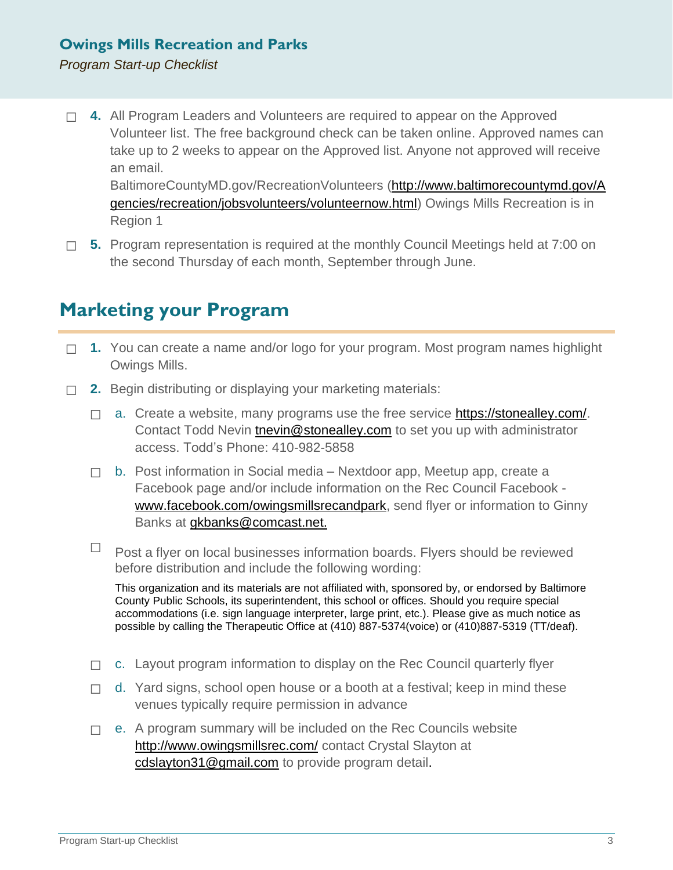#### *Program Start-up Checklist*

- ☐ **4.** All Program Leaders and Volunteers are required to appear on the Approved Volunteer list. The free background check can be taken online. Approved names can take up to 2 weeks to appear on the Approved list. Anyone not approved will receive an email. BaltimoreCountyMD.gov/RecreationVolunteers [\(http://www.baltimorecountymd.gov/A](http://www.baltimorecountymd.gov/Agencies/recreation/jobsvolunteers/volunteernow.html) [gencies/recreation/jobsvolunteers/volunteernow.html\)](http://www.baltimorecountymd.gov/Agencies/recreation/jobsvolunteers/volunteernow.html) Owings Mills Recreation is in
	- Region 1
- ☐ **5.** Program representation is required at the monthly Council Meetings held at 7:00 on the second Thursday of each month, September through June.

# **Marketing your Program**

- □ 1. You can create a name and/or logo for your program. Most program names highlight Owings Mills.
- □ **2.** Begin distributing or displaying your marketing materials:
	- $\Box$  a. Create a website, many programs use the free service [https://stonealley.com/.](https://stonealley.com/) Contact Todd Nevin [tnevin@stonealley.com](mailto:tnevin@stonealley.com) to set you up with administrator access. Todd's Phone: 410-982-5858
	- ☐ b. Post information in Social media Nextdoor app, Meetup app, create a Facebook page and/or include information on the Rec Council Facebook [www.facebook.com/owingsmillsrecandpark,](http://www.facebook.com/owingsmillsrecandpark) send flyer or information to Ginny Banks at **gkbanks@comcast.net.**
	- $\Box$  Post a flyer on local businesses information boards. Flyers should be reviewed before distribution and include the following wording:

This organization and its materials are not affiliated with, sponsored by, or endorsed by Baltimore County Public Schools, its superintendent, this school or offices. Should you require special accommodations (i.e. sign language interpreter, large print, etc.). Please give as much notice as possible by calling the Therapeutic Office at (410) 887-5374(voice) or (410)887-5319 (TT/deaf).

- $\Box$  c. Layout program information to display on the Rec Council quarterly flyer
- $\Box$  d. Yard signs, school open house or a booth at a festival; keep in mind these venues typically require permission in advance
- $\Box$  e. A program summary will be included on the Rec Councils website <http://www.owingsmillsrec.com/> contact Crystal Slayton at [cdslayton31@gmail.com](mailto:cdslayton31@gmail.com) to provide program detail.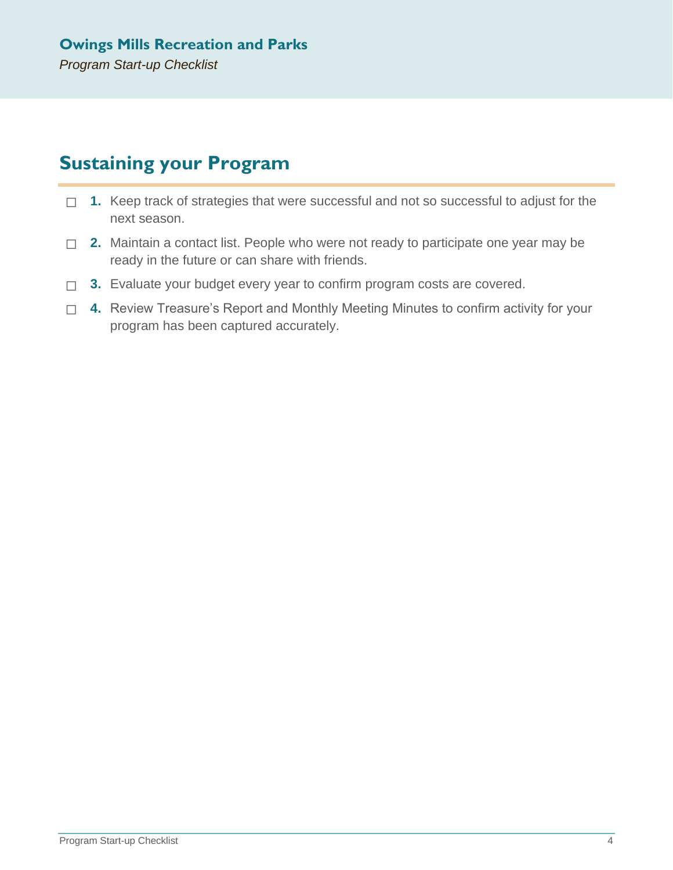# **Sustaining your Program**

- □ 1. Keep track of strategies that were successful and not so successful to adjust for the next season.
- □ **2.** Maintain a contact list. People who were not ready to participate one year may be ready in the future or can share with friends.
- ☐ **3.** Evaluate your budget every year to confirm program costs are covered.
- □ **4.** Review Treasure's Report and Monthly Meeting Minutes to confirm activity for your program has been captured accurately.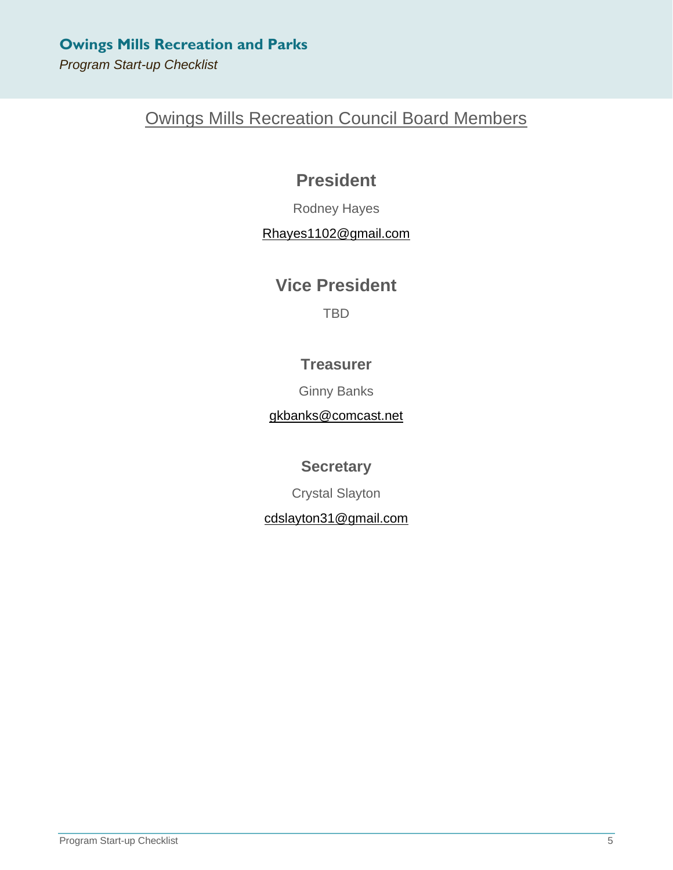*Program Start-up Checklist*

# Owings Mills Recreation Council Board Members

## **President**

Rodney Hayes

#### [Rhayes1102@gmail.com](mailto:Rhayes1102@gmail.com)

## **Vice President**

TBD

### **Treasurer**

Ginny Banks

[gkbanks@comcast.net](mailto:gkbanks@comcast.net)

**Secretary**

Crystal Slayton

#### [cdslayton31@gmail.com](mailto:cdslayton31@gmail.com)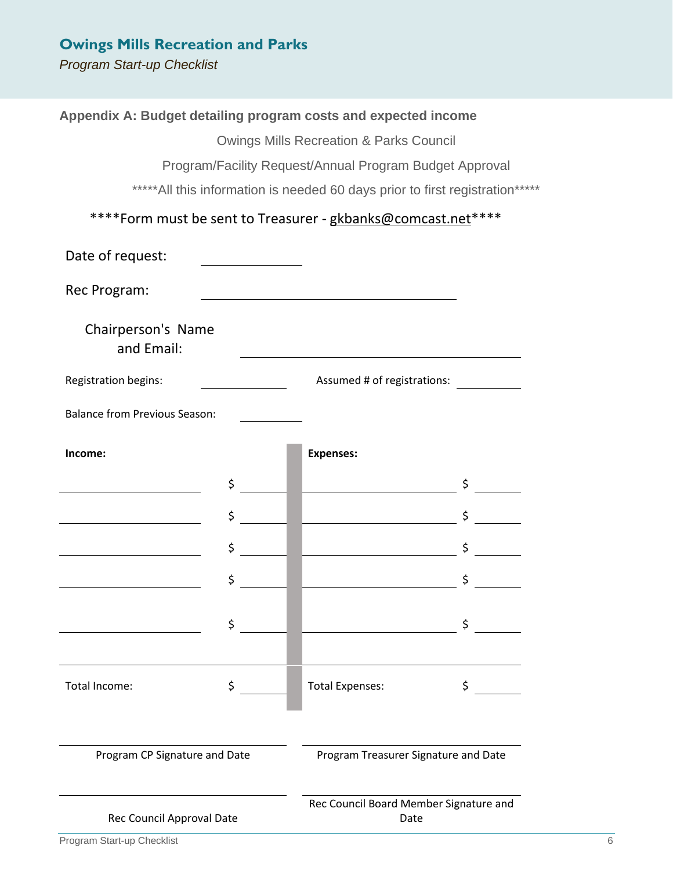*Program Start-up Checklist*

|                                         |    | Appendix A: Budget detailing program costs and expected income                                                        |    |   |
|-----------------------------------------|----|-----------------------------------------------------------------------------------------------------------------------|----|---|
|                                         |    | <b>Owings Mills Recreation &amp; Parks Council</b>                                                                    |    |   |
|                                         |    | Program/Facility Request/Annual Program Budget Approval                                                               |    |   |
|                                         |    | *****All this information is needed 60 days prior to first registration*****                                          |    |   |
|                                         |    | ****Form must be sent to Treasurer - gkbanks@comcast.net****                                                          |    |   |
| Date of request:                        |    |                                                                                                                       |    |   |
| Rec Program:                            |    | <u> 1980 - Johann Barn, mars ann an t-Amhain Aonaich an t-Aonaich an t-Aonaich ann an t-Aonaich ann an t-Aonaich</u>  |    |   |
| Chairperson's Name<br>and Email:        |    |                                                                                                                       |    |   |
| <b>Registration begins:</b>             |    | Assumed # of registrations:                                                                                           |    |   |
| <b>Balance from Previous Season:</b>    |    |                                                                                                                       |    |   |
| Income:                                 |    | <b>Expenses:</b>                                                                                                      |    |   |
| <u> 1989 - Johann Barbara, martxa a</u> | \$ | <u> Liberal Communication</u>                                                                                         |    |   |
|                                         | \$ | <u> III americano di Italiano di Italiano di Italia di Italia di Italia di Italia di Italia di Italia di Italia d</u> | \$ |   |
|                                         | \$ | <u> Louis Communication de la proprie</u>                                                                             |    |   |
|                                         | \$ | <u>and the second control of the second</u>                                                                           | \$ |   |
|                                         | \$ |                                                                                                                       | Ś  |   |
| Total Income:                           | \$ | <b>Total Expenses:</b>                                                                                                | \$ |   |
|                                         |    |                                                                                                                       |    |   |
| Program CP Signature and Date           |    | Program Treasurer Signature and Date                                                                                  |    |   |
| Rec Council Approval Date               |    | Rec Council Board Member Signature and<br>Date                                                                        |    |   |
| Program Start-up Checklist              |    |                                                                                                                       |    | 6 |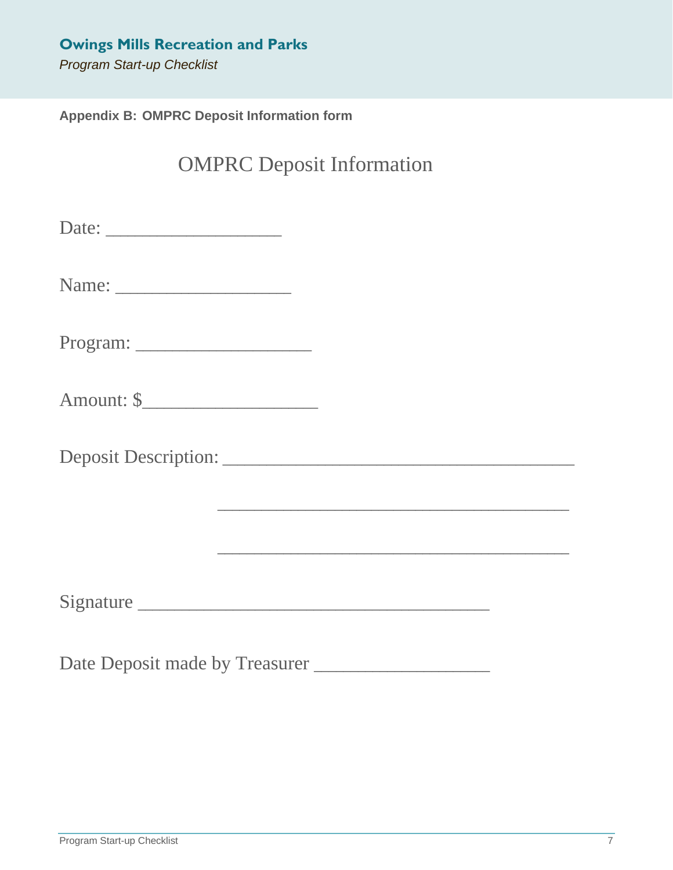**Appendix B: OMPRC Deposit Information form**

# OMPRC Deposit Information

Date: \_\_\_\_\_\_\_\_\_\_\_\_\_\_\_\_\_\_\_\_\_\_\_\_

| Name:<br>٠. |  |
|-------------|--|
|-------------|--|

Program: \_\_\_\_\_\_\_\_\_\_\_\_\_\_\_\_\_\_\_\_\_\_\_\_

Amount: \$\_\_\_\_\_\_\_\_\_\_\_\_\_\_\_\_\_\_\_\_\_\_\_\_

Deposit Description: \_\_\_\_\_\_\_\_\_\_\_\_\_\_\_\_\_\_\_\_\_\_\_\_\_\_\_\_\_\_\_\_\_\_\_\_\_\_\_\_\_\_\_\_\_\_\_\_

Signature \_\_\_\_\_\_\_\_\_\_\_\_\_\_\_\_\_\_\_\_\_\_\_\_\_\_\_\_\_\_\_\_\_\_\_\_\_\_\_\_\_\_\_\_\_\_\_\_

\_\_\_\_\_\_\_\_\_\_\_\_\_\_\_\_\_\_\_\_\_\_\_\_\_\_\_\_\_\_\_\_\_\_\_\_\_\_\_\_\_\_\_\_\_\_\_\_

\_\_\_\_\_\_\_\_\_\_\_\_\_\_\_\_\_\_\_\_\_\_\_\_\_\_\_\_\_\_\_\_\_\_\_\_\_\_\_\_\_\_\_\_\_\_\_\_

Date Deposit made by Treasurer \_\_\_\_\_\_\_\_\_\_\_\_\_\_\_\_\_\_\_\_\_\_\_\_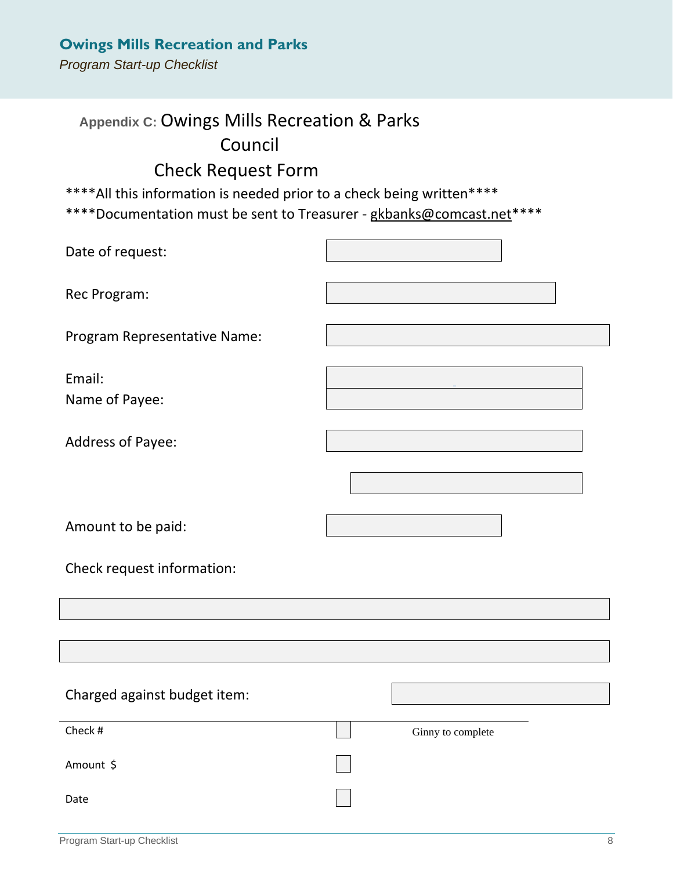*Program Start-up Checklist*

# **Appendix C:** Owings Mills Recreation & Parks Council

## Check Request Form

\*\*\*\*All this information is needed prior to a check being written\*\*\*\*

\*\*\*\*Documentation must be sent to Treasurer - gkbanks@comcast.net\*\*\*\*

| Date of request:             |                   |
|------------------------------|-------------------|
| Rec Program:                 |                   |
| Program Representative Name: |                   |
| Email:<br>Name of Payee:     |                   |
| Address of Payee:            |                   |
|                              |                   |
| Amount to be paid:           |                   |
| Check request information:   |                   |
|                              |                   |
|                              |                   |
| Charged against budget item: |                   |
| Check #                      | Ginny to complete |
| Amount \$                    |                   |
| Date                         |                   |